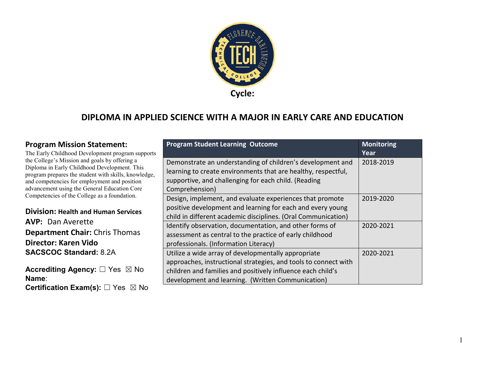

#### **DIPLOMA IN APPLIED SCIENCE WITH A MAJOR IN EARLY CARE AND EDUCATION**

**Program Student Learning Outcome Monitoring Monitoring** 

#### **Program Mission Statement:**

| The Early Childhood Development program supports                                                     |                                                                 | Year      |
|------------------------------------------------------------------------------------------------------|-----------------------------------------------------------------|-----------|
| the College's Mission and goals by offering a                                                        | Demonstrate an understanding of children's development and      | 2018-2019 |
| Diploma in Early Childhood Development. This<br>program prepares the student with skills, knowledge, | learning to create environments that are healthy, respectful,   |           |
| and competencies for employment and position                                                         | supportive, and challenging for each child. (Reading            |           |
| advancement using the General Education Core                                                         | Comprehension)                                                  |           |
| Competencies of the College as a foundation.                                                         | Design, implement, and evaluate experiences that promote        | 2019-2020 |
| <b>Division: Health and Human Services</b>                                                           | positive development and learning for each and every young      |           |
|                                                                                                      | child in different academic disciplines. (Oral Communication)   |           |
| <b>AVP: Dan Averette</b>                                                                             | Identify observation, documentation, and other forms of         | 2020-2021 |
| <b>Department Chair: Chris Thomas</b>                                                                | assessment as central to the practice of early childhood        |           |
| Director: Karen Vido                                                                                 | professionals. (Information Literacy)                           |           |
| <b>SACSCOC Standard: 8.2A</b>                                                                        | Utilize a wide array of developmentally appropriate             | 2020-2021 |
|                                                                                                      | approaches, instructional strategies, and tools to connect with |           |
| <b>Accrediting Agency:</b> $\square$ Yes $\boxtimes$ No                                              | children and families and positively influence each child's     |           |
| Name:                                                                                                | development and learning. (Written Communication)               |           |
| <b>Certification Exam(s):</b> $\square$ Yes $\boxtimes$ No                                           |                                                                 |           |

1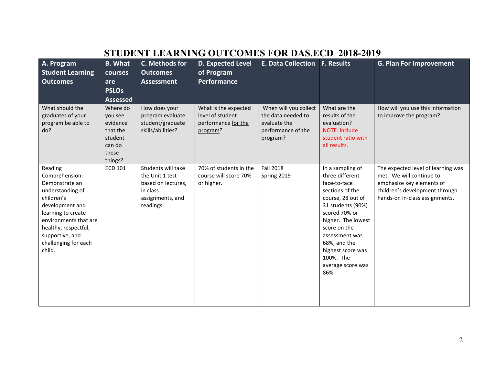|                                                                                                                                                                                                                              |                                                                                      |                                                                                                          | STUDENT LEARNING OUTCOMES FOR DAS.ECD 2016-2017                             |                                                                                               |                                                                                                                                                                                                                                                                          |                                                                                                                                                                 |
|------------------------------------------------------------------------------------------------------------------------------------------------------------------------------------------------------------------------------|--------------------------------------------------------------------------------------|----------------------------------------------------------------------------------------------------------|-----------------------------------------------------------------------------|-----------------------------------------------------------------------------------------------|--------------------------------------------------------------------------------------------------------------------------------------------------------------------------------------------------------------------------------------------------------------------------|-----------------------------------------------------------------------------------------------------------------------------------------------------------------|
| A. Program<br><b>Student Learning</b><br><b>Outcomes</b>                                                                                                                                                                     | <b>B.</b> What<br>courses<br>are                                                     | C. Methods for<br><b>Outcomes</b><br><b>Assessment</b>                                                   | <b>D. Expected Level</b><br>of Program<br>Performance                       | <b>E. Data Collection</b>                                                                     | <b>F. Results</b>                                                                                                                                                                                                                                                        | <b>G. Plan For Improvement</b>                                                                                                                                  |
|                                                                                                                                                                                                                              | <b>PSLOs</b><br><b>Assessed</b>                                                      |                                                                                                          |                                                                             |                                                                                               |                                                                                                                                                                                                                                                                          |                                                                                                                                                                 |
| What should the<br>graduates of your<br>program be able to<br>do?                                                                                                                                                            | Where do<br>you see<br>evidence<br>that the<br>student<br>can do<br>these<br>things? | How does your<br>program evaluate<br>student/graduate<br>skills/abilities?                               | What is the expected<br>level of student<br>performance for the<br>program? | When will you collect<br>the data needed to<br>evaluate the<br>performance of the<br>program? | What are the<br>results of the<br>evaluation?<br><b>NOTE: include</b><br>student ratio with<br>all results.                                                                                                                                                              | How will you use this information<br>to improve the program?                                                                                                    |
| Reading<br>Comprehension:<br>Demonstrate an<br>understanding of<br>children's<br>development and<br>learning to create<br>environments that are<br>healthy, respectful,<br>supportive, and<br>challenging for each<br>child. | <b>ECD 101</b>                                                                       | Students will take<br>the Unit 1 test<br>based on lectures,<br>in class<br>assignments, and<br>readings. | 70% of students in the<br>course will score 70%<br>or higher.               | <b>Fall 2018</b><br>Spring 2019                                                               | In a sampling of<br>three different<br>face-to-face<br>sections of the<br>course, 28 out of<br>31 students (90%)<br>scored 70% or<br>higher. The lowest<br>score on the<br>assessment was<br>68%, and the<br>highest score was<br>100%. The<br>average score was<br>86%. | The expected level of learning was<br>met. We will continue to<br>emphasize key elements of<br>children's development through<br>hands-on in-class assignments. |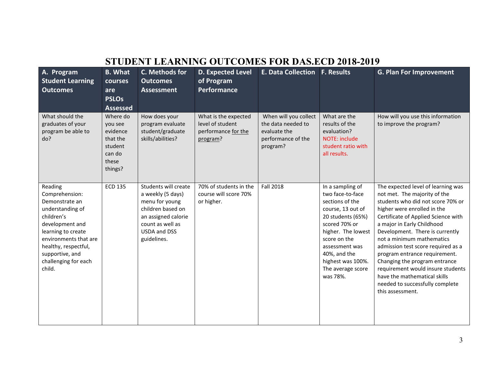| A. Program<br><b>Student Learning</b><br><b>Outcomes</b>                                                                                                                                                                     | <b>B.</b> What<br>courses<br>are<br><b>PSLOs</b><br><b>Assessed</b>                  | C. Methods for<br><b>Outcomes</b><br><b>Assessment</b>                                                                                                            | <b>D. Expected Level</b><br>of Program<br><b>Performance</b>                | <b>E. Data Collection F. Results</b>                                                          |                                                                                                                                                                                                                                                  | <b>G. Plan For Improvement</b>                                                                                                                                                                                                                                                                                                                                                                                                                                                                                  |
|------------------------------------------------------------------------------------------------------------------------------------------------------------------------------------------------------------------------------|--------------------------------------------------------------------------------------|-------------------------------------------------------------------------------------------------------------------------------------------------------------------|-----------------------------------------------------------------------------|-----------------------------------------------------------------------------------------------|--------------------------------------------------------------------------------------------------------------------------------------------------------------------------------------------------------------------------------------------------|-----------------------------------------------------------------------------------------------------------------------------------------------------------------------------------------------------------------------------------------------------------------------------------------------------------------------------------------------------------------------------------------------------------------------------------------------------------------------------------------------------------------|
| What should the<br>graduates of your<br>program be able to<br>do?                                                                                                                                                            | Where do<br>you see<br>evidence<br>that the<br>student<br>can do<br>these<br>things? | How does your<br>program evaluate<br>student/graduate<br>skills/abilities?                                                                                        | What is the expected<br>level of student<br>performance for the<br>program? | When will you collect<br>the data needed to<br>evaluate the<br>performance of the<br>program? | What are the<br>results of the<br>evaluation?<br><b>NOTE: include</b><br>student ratio with<br>all results.                                                                                                                                      | How will you use this information<br>to improve the program?                                                                                                                                                                                                                                                                                                                                                                                                                                                    |
| Reading<br>Comprehension:<br>Demonstrate an<br>understanding of<br>children's<br>development and<br>learning to create<br>environments that are<br>healthy, respectful,<br>supportive, and<br>challenging for each<br>child. | <b>ECD 135</b>                                                                       | Students will create<br>a weekly (5 days)<br>menu for young<br>children based on<br>an assigned calorie<br>count as well as<br><b>USDA and DSS</b><br>guidelines. | 70% of students in the<br>course will score 70%<br>or higher.               | <b>Fall 2018</b>                                                                              | In a sampling of<br>two face-to-face<br>sections of the<br>course, 13 out of<br>20 students (65%)<br>scored 70% or<br>higher. The lowest<br>score on the<br>assessment was<br>40%, and the<br>highest was 100%.<br>The average score<br>was 78%. | The expected level of learning was<br>not met. The majority of the<br>students who did not score 70% or<br>higher were enrolled in the<br>Certificate of Applied Science with<br>a major in Early Childhood<br>Development. There is currently<br>not a minimum mathematics<br>admission test score required as a<br>program entrance requirement.<br>Changing the program entrance<br>requirement would insure students<br>have the mathematical skills<br>needed to successfully complete<br>this assessment. |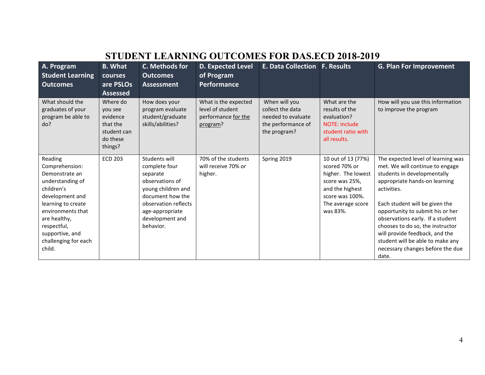|                                                                                                                                                                                                                                 | STUDENT LEARNING OUTCOMES FOR DAS.ECD 2018-2019                                   |                                                                                                                                                                                    |                                                                             |                                                                                               |                                                                                                                                                    |                                                                                                                                                                                                                                                                                                                                                                                                                       |  |  |
|---------------------------------------------------------------------------------------------------------------------------------------------------------------------------------------------------------------------------------|-----------------------------------------------------------------------------------|------------------------------------------------------------------------------------------------------------------------------------------------------------------------------------|-----------------------------------------------------------------------------|-----------------------------------------------------------------------------------------------|----------------------------------------------------------------------------------------------------------------------------------------------------|-----------------------------------------------------------------------------------------------------------------------------------------------------------------------------------------------------------------------------------------------------------------------------------------------------------------------------------------------------------------------------------------------------------------------|--|--|
| A. Program<br><b>Student Learning</b><br><b>Outcomes</b>                                                                                                                                                                        | <b>B.</b> What<br><b>courses</b><br>are PSLOs<br><b>Assessed</b>                  | C. Methods for<br><b>Outcomes</b><br><b>Assessment</b>                                                                                                                             | <b>D. Expected Level</b><br>of Program<br><b>Performance</b>                | <b>E. Data Collection F. Results</b>                                                          |                                                                                                                                                    | <b>G. Plan For Improvement</b>                                                                                                                                                                                                                                                                                                                                                                                        |  |  |
| What should the<br>graduates of your<br>program be able to<br>do?                                                                                                                                                               | Where do<br>you see<br>evidence<br>that the<br>student can<br>do these<br>things? | How does your<br>program evaluate<br>student/graduate<br>skills/abilities?                                                                                                         | What is the expected<br>level of student<br>performance for the<br>program? | When will you<br>collect the data<br>needed to evaluate<br>the performance of<br>the program? | What are the<br>results of the<br>evaluation?<br>NOTE: include<br>student ratio with<br>all results.                                               | How will you use this information<br>to improve the program                                                                                                                                                                                                                                                                                                                                                           |  |  |
| Reading<br>Comprehension:<br>Demonstrate an<br>understanding of<br>children's<br>development and<br>learning to create<br>environments that<br>are healthy,<br>respectful,<br>supportive, and<br>challenging for each<br>child. | <b>ECD 203</b>                                                                    | Students will<br>complete four<br>separate<br>observations of<br>young children and<br>document how the<br>observation reflects<br>age-appropriate<br>development and<br>behavior. | 70% of the students<br>will receive 70% or<br>higher.                       | Spring 2019                                                                                   | 10 out of 13 (77%)<br>scored 70% or<br>higher. The lowest<br>score was 25%,<br>and the highest<br>score was 100%.<br>The average score<br>was 83%. | The expected level of learning was<br>met. We will continue to engage<br>students in developmentally<br>appropriate hands-on learning<br>activities.<br>Each student will be given the<br>opportunity to submit his or her<br>observations early. If a student<br>chooses to do so, the instructor<br>will provide feedback, and the<br>student will be able to make any<br>necessary changes before the due<br>date. |  |  |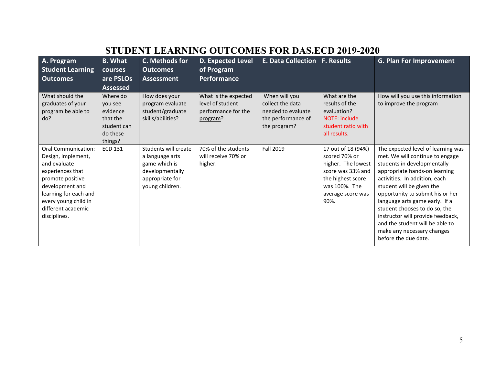| A. Program<br><b>Student Learning</b><br><b>Outcomes</b>                                                                                                                                                    | <b>B.</b> What<br>courses<br>are PSLOs<br><b>Assessed</b>                         | C. Methods for<br><b>Outcomes</b><br>Assessment                                                                   | <b>D. Expected Level</b><br>of Program<br><b>Performance</b>                | <b>E. Data Collection</b>                                                                     | <b>F. Results</b>                                                                                                                                 | <b>G. Plan For Improvement</b>                                                                                                                                                                                                                                                                                                                                                                                                           |
|-------------------------------------------------------------------------------------------------------------------------------------------------------------------------------------------------------------|-----------------------------------------------------------------------------------|-------------------------------------------------------------------------------------------------------------------|-----------------------------------------------------------------------------|-----------------------------------------------------------------------------------------------|---------------------------------------------------------------------------------------------------------------------------------------------------|------------------------------------------------------------------------------------------------------------------------------------------------------------------------------------------------------------------------------------------------------------------------------------------------------------------------------------------------------------------------------------------------------------------------------------------|
| What should the<br>graduates of your<br>program be able to<br>do?                                                                                                                                           | Where do<br>you see<br>evidence<br>that the<br>student can<br>do these<br>things? | How does your<br>program evaluate<br>student/graduate<br>skills/abilities?                                        | What is the expected<br>level of student<br>performance for the<br>program? | When will you<br>collect the data<br>needed to evaluate<br>the performance of<br>the program? | What are the<br>results of the<br>evaluation?<br><b>NOTE: include</b><br>student ratio with<br>all results.                                       | How will you use this information<br>to improve the program                                                                                                                                                                                                                                                                                                                                                                              |
| Oral Communication:<br>Design, implement,<br>and evaluate<br>experiences that<br>promote positive<br>development and<br>learning for each and<br>every young child in<br>different academic<br>disciplines. | <b>ECD 131</b>                                                                    | Students will create<br>a language arts<br>game which is<br>developmentally<br>appropriate for<br>young children. | 70% of the students<br>will receive 70% or<br>higher.                       | Fall 2019                                                                                     | 17 out of 18 (94%)<br>scored 70% or<br>higher. The lowest<br>score was 33% and<br>the highest score<br>was 100%. The<br>average score was<br>90%. | The expected level of learning was<br>met. We will continue to engage<br>students in developmentally<br>appropriate hands-on learning<br>activities. In addition, each<br>student will be given the<br>opportunity to submit his or her<br>language arts game early. If a<br>student chooses to do so, the<br>instructor will provide feedback,<br>and the student will be able to<br>make any necessary changes<br>before the due date. |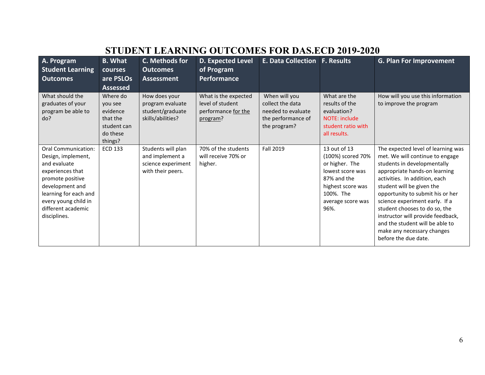| A. Program<br><b>Student Learning</b><br><b>Outcomes</b>                                                                                                                                                    | <b>B.</b> What<br>courses<br>are PSLOs<br><b>Assessed</b>                         | C. Methods for<br><b>Outcomes</b><br>Assessment                                  | <b>D. Expected Level</b><br>of Program<br><b>Performance</b>                | <b>E. Data Collection</b>                                                                     | <b>F. Results</b>                                                                                                                                     | <b>G. Plan For Improvement</b>                                                                                                                                                                                                                                                                                                                                                                                                           |
|-------------------------------------------------------------------------------------------------------------------------------------------------------------------------------------------------------------|-----------------------------------------------------------------------------------|----------------------------------------------------------------------------------|-----------------------------------------------------------------------------|-----------------------------------------------------------------------------------------------|-------------------------------------------------------------------------------------------------------------------------------------------------------|------------------------------------------------------------------------------------------------------------------------------------------------------------------------------------------------------------------------------------------------------------------------------------------------------------------------------------------------------------------------------------------------------------------------------------------|
| What should the<br>graduates of your<br>program be able to<br>do?                                                                                                                                           | Where do<br>you see<br>evidence<br>that the<br>student can<br>do these<br>things? | How does your<br>program evaluate<br>student/graduate<br>skills/abilities?       | What is the expected<br>level of student<br>performance for the<br>program? | When will you<br>collect the data<br>needed to evaluate<br>the performance of<br>the program? | What are the<br>results of the<br>evaluation?<br>NOTE: include<br>student ratio with<br>all results.                                                  | How will you use this information<br>to improve the program                                                                                                                                                                                                                                                                                                                                                                              |
| Oral Communication:<br>Design, implement,<br>and evaluate<br>experiences that<br>promote positive<br>development and<br>learning for each and<br>every young child in<br>different academic<br>disciplines. | <b>ECD 133</b>                                                                    | Students will plan<br>and implement a<br>science experiment<br>with their peers. | 70% of the students<br>will receive 70% or<br>higher.                       | Fall 2019                                                                                     | 13 out of 13<br>(100%) scored 70%<br>or higher. The<br>lowest score was<br>87% and the<br>highest score was<br>100%. The<br>average score was<br>96%. | The expected level of learning was<br>met. We will continue to engage<br>students in developmentally<br>appropriate hands-on learning<br>activities. In addition, each<br>student will be given the<br>opportunity to submit his or her<br>science experiment early. If a<br>student chooses to do so, the<br>instructor will provide feedback,<br>and the student will be able to<br>make any necessary changes<br>before the due date. |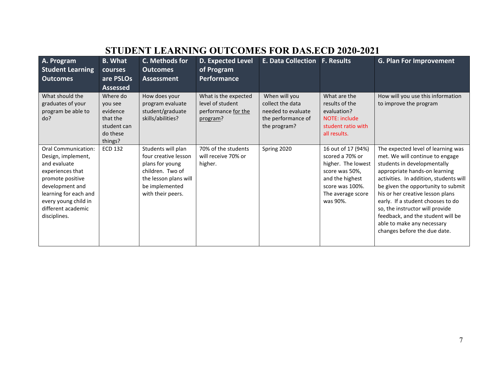| A. Program<br><b>Student Learning</b><br><b>Outcomes</b>                                                                                                                                                    | <b>B. What</b><br><b>courses</b><br>are PSLOs                                                        | C. Methods for<br><b>Outcomes</b><br><b>Assessment</b>                                                                                            | <b>D. Expected Level</b><br>of Program<br>Performance                       | <b>E. Data Collection</b>                                                                     | <b>F. Results</b>                                                                                                                                    | <b>G. Plan For Improvement</b>                                                                                                                                                                                                                                                                                                                                                                                                       |
|-------------------------------------------------------------------------------------------------------------------------------------------------------------------------------------------------------------|------------------------------------------------------------------------------------------------------|---------------------------------------------------------------------------------------------------------------------------------------------------|-----------------------------------------------------------------------------|-----------------------------------------------------------------------------------------------|------------------------------------------------------------------------------------------------------------------------------------------------------|--------------------------------------------------------------------------------------------------------------------------------------------------------------------------------------------------------------------------------------------------------------------------------------------------------------------------------------------------------------------------------------------------------------------------------------|
| What should the<br>graduates of your<br>program be able to<br>do?                                                                                                                                           | <b>Assessed</b><br>Where do<br>you see<br>evidence<br>that the<br>student can<br>do these<br>things? | How does your<br>program evaluate<br>student/graduate<br>skills/abilities?                                                                        | What is the expected<br>level of student<br>performance for the<br>program? | When will you<br>collect the data<br>needed to evaluate<br>the performance of<br>the program? | What are the<br>results of the<br>evaluation?<br><b>NOTE: include</b><br>student ratio with<br>all results.                                          | How will you use this information<br>to improve the program                                                                                                                                                                                                                                                                                                                                                                          |
| Oral Communication:<br>Design, implement,<br>and evaluate<br>experiences that<br>promote positive<br>development and<br>learning for each and<br>every young child in<br>different academic<br>disciplines. | <b>ECD 132</b>                                                                                       | Students will plan<br>four creative lesson<br>plans for young<br>children. Two of<br>the lesson plans will<br>be implemented<br>with their peers. | 70% of the students<br>will receive 70% or<br>higher.                       | Spring 2020                                                                                   | 16 out of 17 (94%)<br>scored a 70% or<br>higher. The lowest<br>score was 50%,<br>and the highest<br>score was 100%.<br>The average score<br>was 90%. | The expected level of learning was<br>met. We will continue to engage<br>students in developmentally<br>appropriate hands-on learning<br>activities. In addition, students will<br>be given the opportunity to submit<br>his or her creative lesson plans<br>early. If a student chooses to do<br>so, the instructor will provide<br>feedback, and the student will be<br>able to make any necessary<br>changes before the due date. |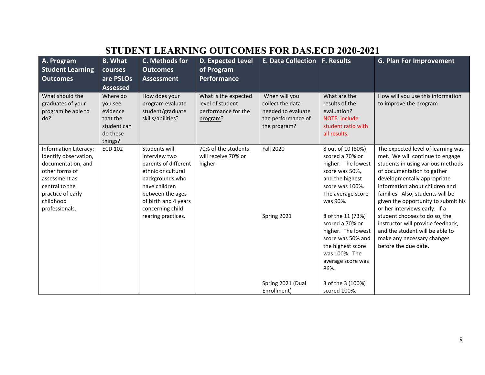| A. Program<br><b>Student Learning</b><br><b>Outcomes</b>                                                                                                                      | <b>B.</b> What<br>courses<br>are PSLOs<br><b>Assessed</b>                         | C. Methods for<br><b>Outcomes</b><br>Assessment                                                                                                                                                        | <b>D. Expected Level</b><br>of Program<br><b>Performance</b>                | E. Data Collection   F. Results                                                               |                                                                                                                                                                                                                                                                                                           | <b>G. Plan For Improvement</b>                                                                                                                                                                                                                                                                                                                                                                                                                                                       |
|-------------------------------------------------------------------------------------------------------------------------------------------------------------------------------|-----------------------------------------------------------------------------------|--------------------------------------------------------------------------------------------------------------------------------------------------------------------------------------------------------|-----------------------------------------------------------------------------|-----------------------------------------------------------------------------------------------|-----------------------------------------------------------------------------------------------------------------------------------------------------------------------------------------------------------------------------------------------------------------------------------------------------------|--------------------------------------------------------------------------------------------------------------------------------------------------------------------------------------------------------------------------------------------------------------------------------------------------------------------------------------------------------------------------------------------------------------------------------------------------------------------------------------|
| What should the<br>graduates of your<br>program be able to<br>do?                                                                                                             | Where do<br>you see<br>evidence<br>that the<br>student can<br>do these<br>things? | How does your<br>program evaluate<br>student/graduate<br>skills/abilities?                                                                                                                             | What is the expected<br>level of student<br>performance for the<br>program? | When will you<br>collect the data<br>needed to evaluate<br>the performance of<br>the program? | What are the<br>results of the<br>evaluation?<br><b>NOTE: include</b><br>student ratio with<br>all results.                                                                                                                                                                                               | How will you use this information<br>to improve the program                                                                                                                                                                                                                                                                                                                                                                                                                          |
| Information Literacy:<br>Identify observation,<br>documentation, and<br>other forms of<br>assessment as<br>central to the<br>practice of early<br>childhood<br>professionals. | <b>ECD 102</b>                                                                    | Students will<br>interview two<br>parents of different<br>ethnic or cultural<br>backgrounds who<br>have children<br>between the ages<br>of birth and 4 years<br>concerning child<br>rearing practices. | 70% of the students<br>will receive 70% or<br>higher.                       | <b>Fall 2020</b><br>Spring 2021                                                               | 8 out of 10 (80%)<br>scored a 70% or<br>higher. The lowest<br>score was 50%,<br>and the highest<br>score was 100%.<br>The average score<br>was 90%.<br>8 of the 11 (73%)<br>scored a 70% or<br>higher. The lowest<br>score was 50% and<br>the highest score<br>was 100%. The<br>average score was<br>86%. | The expected level of learning was<br>met. We will continue to engage<br>students in using various methods<br>of documentation to gather<br>developmentally appropriate<br>information about children and<br>families. Also, students will be<br>given the opportunity to submit his<br>or her interviews early. If a<br>student chooses to do so, the<br>instructor will provide feedback,<br>and the student will be able to<br>make any necessary changes<br>before the due date. |
|                                                                                                                                                                               |                                                                                   |                                                                                                                                                                                                        |                                                                             | Spring 2021 (Dual<br>Enrollment)                                                              | 3 of the 3 (100%)<br>scored 100%.                                                                                                                                                                                                                                                                         |                                                                                                                                                                                                                                                                                                                                                                                                                                                                                      |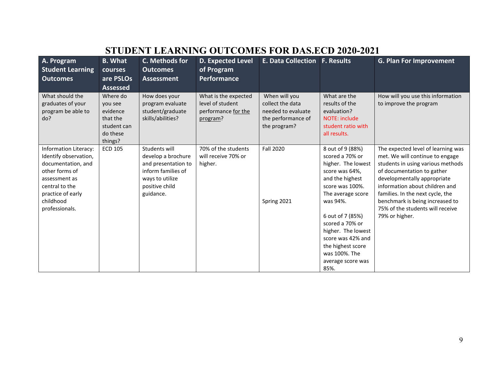| A. Program<br><b>Student Learning</b>                                                                                                                                                | <b>B.</b> What<br>courses                                                         | C. Methods for<br><b>Outcomes</b>                                                                                                  | <b>D. Expected Level</b><br>of Program                                      | <b>E. Data Collection F. Results</b>                                                          |                                                                                                                                                                                                                                                                                                         | <b>G. Plan For Improvement</b>                                                                                                                                                                                                                                                                                                         |
|--------------------------------------------------------------------------------------------------------------------------------------------------------------------------------------|-----------------------------------------------------------------------------------|------------------------------------------------------------------------------------------------------------------------------------|-----------------------------------------------------------------------------|-----------------------------------------------------------------------------------------------|---------------------------------------------------------------------------------------------------------------------------------------------------------------------------------------------------------------------------------------------------------------------------------------------------------|----------------------------------------------------------------------------------------------------------------------------------------------------------------------------------------------------------------------------------------------------------------------------------------------------------------------------------------|
| <b>Outcomes</b>                                                                                                                                                                      | are PSLOs<br><b>Assessed</b>                                                      | Assessment                                                                                                                         | <b>Performance</b>                                                          |                                                                                               |                                                                                                                                                                                                                                                                                                         |                                                                                                                                                                                                                                                                                                                                        |
| What should the<br>graduates of your<br>program be able to<br>do?                                                                                                                    | Where do<br>you see<br>evidence<br>that the<br>student can<br>do these<br>things? | How does your<br>program evaluate<br>student/graduate<br>skills/abilities?                                                         | What is the expected<br>level of student<br>performance for the<br>program? | When will you<br>collect the data<br>needed to evaluate<br>the performance of<br>the program? | What are the<br>results of the<br>evaluation?<br><b>NOTE: include</b><br>student ratio with<br>all results.                                                                                                                                                                                             | How will you use this information<br>to improve the program                                                                                                                                                                                                                                                                            |
| <b>Information Literacy:</b><br>Identify observation,<br>documentation, and<br>other forms of<br>assessment as<br>central to the<br>practice of early<br>childhood<br>professionals. | <b>ECD 105</b>                                                                    | Students will<br>develop a brochure<br>and presentation to<br>inform families of<br>ways to utilize<br>positive child<br>guidance. | 70% of the students<br>will receive 70% or<br>higher.                       | <b>Fall 2020</b><br>Spring 2021                                                               | 8 out of 9 (88%)<br>scored a 70% or<br>higher. The lowest<br>score was 64%,<br>and the highest<br>score was 100%.<br>The average score<br>was 94%.<br>6 out of 7 (85%)<br>scored a 70% or<br>higher. The lowest<br>score was 42% and<br>the highest score<br>was 100%. The<br>average score was<br>85%. | The expected level of learning was<br>met. We will continue to engage<br>students in using various methods<br>of documentation to gather<br>developmentally appropriate<br>information about children and<br>families. In the next cycle, the<br>benchmark is being increased to<br>75% of the students will receive<br>79% or higher. |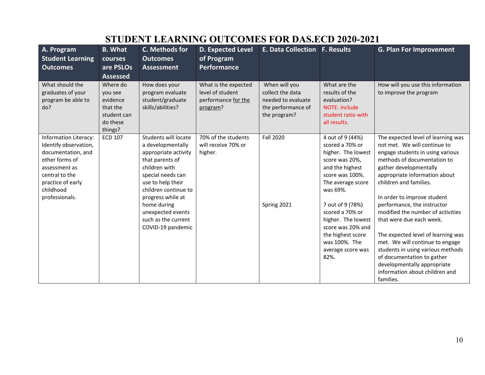| A. Program<br><b>Student Learning</b><br><b>Outcomes</b>                                                                                                                             | <b>B.</b> What<br>courses<br>are PSLOs<br><b>Assessed</b>                         | C. Methods for<br><b>Outcomes</b><br><b>Assessment</b>                                                                                                                                                                                                                       | <b>D. Expected Level</b><br>of Program<br><b>Performance</b>                | <b>E. Data Collection F. Results</b>                                                          |                                                                                                                                                                                                                                                                                                         | <b>G. Plan For Improvement</b>                                                                                                                                                                                                                                                                                                                                                                                                                                                                                                                                                      |
|--------------------------------------------------------------------------------------------------------------------------------------------------------------------------------------|-----------------------------------------------------------------------------------|------------------------------------------------------------------------------------------------------------------------------------------------------------------------------------------------------------------------------------------------------------------------------|-----------------------------------------------------------------------------|-----------------------------------------------------------------------------------------------|---------------------------------------------------------------------------------------------------------------------------------------------------------------------------------------------------------------------------------------------------------------------------------------------------------|-------------------------------------------------------------------------------------------------------------------------------------------------------------------------------------------------------------------------------------------------------------------------------------------------------------------------------------------------------------------------------------------------------------------------------------------------------------------------------------------------------------------------------------------------------------------------------------|
| What should the<br>graduates of your<br>program be able to<br>do?                                                                                                                    | Where do<br>you see<br>evidence<br>that the<br>student can<br>do these<br>things? | How does your<br>program evaluate<br>student/graduate<br>skills/abilities?                                                                                                                                                                                                   | What is the expected<br>level of student<br>performance for the<br>program? | When will you<br>collect the data<br>needed to evaluate<br>the performance of<br>the program? | What are the<br>results of the<br>evaluation?<br><b>NOTE: include</b><br>student ratio with<br>all results.                                                                                                                                                                                             | How will you use this information<br>to improve the program                                                                                                                                                                                                                                                                                                                                                                                                                                                                                                                         |
| <b>Information Literacy:</b><br>Identify observation,<br>documentation, and<br>other forms of<br>assessment as<br>central to the<br>practice of early<br>childhood<br>professionals. | <b>ECD 107</b>                                                                    | Students will locate<br>a developmentally<br>appropriate activity<br>that parents of<br>children with<br>special needs can<br>use to help their<br>children continue to<br>progress while at<br>home during<br>unexpected events<br>such as the current<br>COVID-19 pandemic | 70% of the students<br>will receive 70% or<br>higher.                       | <b>Fall 2020</b><br>Spring 2021                                                               | 4 out of 9 (44%)<br>scored a 70% or<br>higher. The lowest<br>score was 20%,<br>and the highest<br>score was 100%.<br>The average score<br>was 69%.<br>7 out of 9 (78%)<br>scored a 70% or<br>higher. The lowest<br>score was 20% and<br>the highest score<br>was 100%. The<br>average score was<br>82%. | The expected level of learning was<br>not met. We will continue to<br>engage students in using various<br>methods of documentation to<br>gather developmentally<br>appropriate information about<br>children and families.<br>In order to improve student<br>performance, the instructor<br>modified the number of activities<br>that were due each week.<br>The expected level of learning was<br>met. We will continue to engage<br>students in using various methods<br>of documentation to gather<br>developmentally appropriate<br>information about children and<br>families. |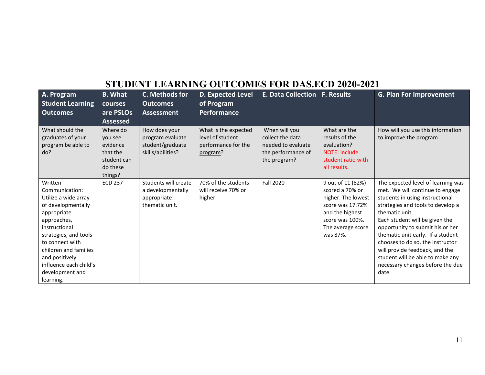| A. Program<br><b>Student Learning</b><br><b>Outcomes</b>                                                                                                                                                                                                                | <b>B.</b> What<br>courses<br>are PSLOs<br><b>Assessed</b>                         | C. Methods for<br>Outcomes<br><b>Assessment</b>                            | <b>D. Expected Level</b><br>of Program<br><b>Performance</b>                | <b>E. Data Collection</b>                                                                     | <b>F. Results</b>                                                                                                                                     | <b>G. Plan For Improvement</b>                                                                                                                                                                                                                                                                                                                                                                                                    |
|-------------------------------------------------------------------------------------------------------------------------------------------------------------------------------------------------------------------------------------------------------------------------|-----------------------------------------------------------------------------------|----------------------------------------------------------------------------|-----------------------------------------------------------------------------|-----------------------------------------------------------------------------------------------|-------------------------------------------------------------------------------------------------------------------------------------------------------|-----------------------------------------------------------------------------------------------------------------------------------------------------------------------------------------------------------------------------------------------------------------------------------------------------------------------------------------------------------------------------------------------------------------------------------|
| What should the<br>graduates of your<br>program be able to<br>do?                                                                                                                                                                                                       | Where do<br>you see<br>evidence<br>that the<br>student can<br>do these<br>things? | How does your<br>program evaluate<br>student/graduate<br>skills/abilities? | What is the expected<br>level of student<br>performance for the<br>program? | When will you<br>collect the data<br>needed to evaluate<br>the performance of<br>the program? | What are the<br>results of the<br>evaluation?<br><b>NOTE: include</b><br>student ratio with<br>all results.                                           | How will you use this information<br>to improve the program                                                                                                                                                                                                                                                                                                                                                                       |
| Written<br>Communication:<br>Utilize a wide array<br>of developmentally<br>appropriate<br>approaches,<br>instructional<br>strategies, and tools<br>to connect with<br>children and families<br>and positively<br>influence each child's<br>development and<br>learning. | <b>ECD 237</b>                                                                    | Students will create<br>a developmentally<br>appropriate<br>thematic unit. | 70% of the students<br>will receive 70% or<br>higher.                       | <b>Fall 2020</b>                                                                              | 9 out of 11 (82%)<br>scored a 70% or<br>higher. The lowest<br>score was 17.72%<br>and the highest<br>score was 100%.<br>The average score<br>was 87%. | The expected level of learning was<br>met. We will continue to engage<br>students in using instructional<br>strategies and tools to develop a<br>thematic unit.<br>Each student will be given the<br>opportunity to submit his or her<br>thematic unit early. If a student<br>chooses to do so, the instructor<br>will provide feedback, and the<br>student will be able to make any<br>necessary changes before the due<br>date. |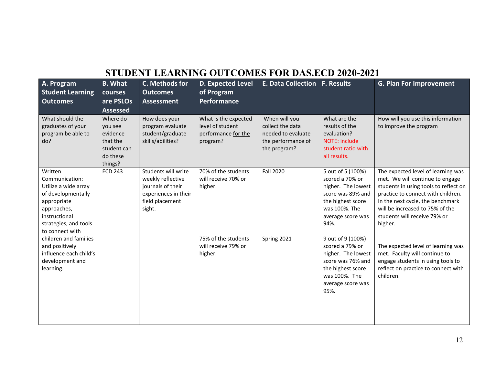| A. Program<br><b>Student Learning</b><br><b>Outcomes</b>                                                                                                           | <b>B.</b> What<br>courses<br>are PSLOs                                                               | C. Methods for<br><b>Outcomes</b><br><b>Assessment</b>                                                             | <b>D. Expected Level</b><br>of Program<br>Performance                       | E. Data Collection   F. Results                                                               |                                                                                                                                                    | <b>G. Plan For Improvement</b>                                                                                                                                                                                                                                         |
|--------------------------------------------------------------------------------------------------------------------------------------------------------------------|------------------------------------------------------------------------------------------------------|--------------------------------------------------------------------------------------------------------------------|-----------------------------------------------------------------------------|-----------------------------------------------------------------------------------------------|----------------------------------------------------------------------------------------------------------------------------------------------------|------------------------------------------------------------------------------------------------------------------------------------------------------------------------------------------------------------------------------------------------------------------------|
| What should the<br>graduates of your<br>program be able to<br>do?                                                                                                  | <b>Assessed</b><br>Where do<br>you see<br>evidence<br>that the<br>student can<br>do these<br>things? | How does your<br>program evaluate<br>student/graduate<br>skills/abilities?                                         | What is the expected<br>level of student<br>performance for the<br>program? | When will you<br>collect the data<br>needed to evaluate<br>the performance of<br>the program? | What are the<br>results of the<br>evaluation?<br>NOTE: include<br>student ratio with<br>all results.                                               | How will you use this information<br>to improve the program                                                                                                                                                                                                            |
| Written<br>Communication:<br>Utilize a wide array<br>of developmentally<br>appropriate<br>approaches,<br>instructional<br>strategies, and tools<br>to connect with | <b>ECD 243</b>                                                                                       | Students will write<br>weekly reflective<br>journals of their<br>experiences in their<br>field placement<br>sight. | 70% of the students<br>will receive 70% or<br>higher.                       | <b>Fall 2020</b>                                                                              | 5 out of 5 (100%)<br>scored a 70% or<br>higher. The lowest<br>score was 89% and<br>the highest score<br>was 100%. The<br>average score was<br>94%. | The expected level of learning was<br>met. We will continue to engage<br>students in using tools to reflect on<br>practice to connect with children.<br>In the next cycle, the benchmark<br>will be increased to 75% of the<br>students will receive 79% or<br>higher. |
| children and families<br>and positively<br>influence each child's<br>development and<br>learning.                                                                  |                                                                                                      |                                                                                                                    | 75% of the students<br>will receive 79% or<br>higher.                       | Spring 2021                                                                                   | 9 out of 9 (100%)<br>scored a 79% or<br>higher. The lowest<br>score was 76% and<br>the highest score<br>was 100%. The<br>average score was<br>95%. | The expected level of learning was<br>met. Faculty will continue to<br>engage students in using tools to<br>reflect on practice to connect with<br>children.                                                                                                           |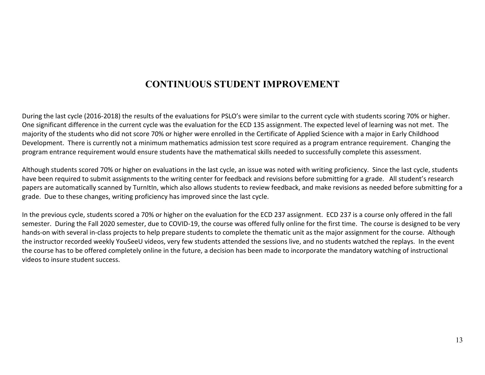#### **CONTINUOUS STUDENT IMPROVEMENT**

During the last cycle (2016-2018) the results of the evaluations for PSLO's were similar to the current cycle with students scoring 70% or higher. One significant difference in the current cycle was the evaluation for the ECD 135 assignment. The expected level of learning was not met. The majority of the students who did not score 70% or higher were enrolled in the Certificate of Applied Science with a major in Early Childhood Development. There is currently not a minimum mathematics admission test score required as a program entrance requirement. Changing the program entrance requirement would ensure students have the mathematical skills needed to successfully complete this assessment.

Although students scored 70% or higher on evaluations in the last cycle, an issue was noted with writing proficiency. Since the last cycle, students have been required to submit assignments to the writing center for feedback and revisions before submitting for a grade. All student's research papers are automatically scanned by TurnItIn, which also allows students to review feedback, and make revisions as needed before submitting for a grade. Due to these changes, writing proficiency has improved since the last cycle.

In the previous cycle, students scored a 70% or higher on the evaluation for the ECD 237 assignment. ECD 237 is a course only offered in the fall semester. During the Fall 2020 semester, due to COVID-19, the course was offered fully online for the first time. The course is designed to be very hands-on with several in-class projects to help prepare students to complete the thematic unit as the major assignment for the course. Although the instructor recorded weekly YouSeeU videos, very few students attended the sessions live, and no students watched the replays. In the event the course has to be offered completely online in the future, a decision has been made to incorporate the mandatory watching of instructional videos to insure student success.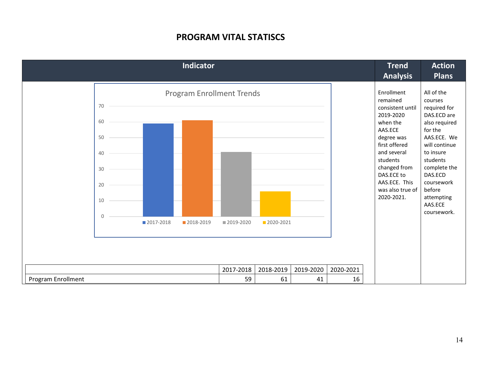#### **PROGRAM VITAL STATISCS**

| Enrollment<br><b>Program Enrollment Trends</b><br>remained                                                                                                                                                                                                                                                                                                                                                    | <b>Plans</b>                                                                                                                                                                                                                         |
|---------------------------------------------------------------------------------------------------------------------------------------------------------------------------------------------------------------------------------------------------------------------------------------------------------------------------------------------------------------------------------------------------------------|--------------------------------------------------------------------------------------------------------------------------------------------------------------------------------------------------------------------------------------|
| 70<br>consistent until<br>2019-2020<br>60<br>when the<br>AAS.ECE<br>degree was<br>50<br>first offered<br>and several<br>40<br>students<br>changed from<br>30<br>DAS.ECE to<br>AAS.ECE. This<br>20<br>was also true of<br>2020-2021.<br>10<br>$\Omega$<br>2017-2018<br>■ 2020-2021<br>2018-2019<br>2019-2020<br>2017-2018<br>2018-2019<br>2019-2020<br>2020-2021<br>Program Enrollment<br>59<br>16<br>61<br>41 | All of the<br>courses<br>required for<br>DAS.ECD are<br>also required<br>for the<br>AAS.ECE. We<br>will continue<br>to insure<br>students<br>complete the<br>DAS.ECD<br>coursework<br>before<br>attempting<br>AAS.ECE<br>coursework. |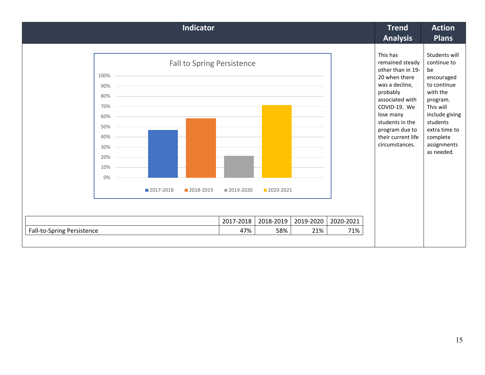| <b>Indicator</b>                                                          |             |                                         |             |           |           |           | <b>Trend</b><br><b>Analysis</b>                                                                                                                                                                                              | <b>Action</b><br><b>Plans</b>                                                                                                                                                                |
|---------------------------------------------------------------------------|-------------|-----------------------------------------|-------------|-----------|-----------|-----------|------------------------------------------------------------------------------------------------------------------------------------------------------------------------------------------------------------------------------|----------------------------------------------------------------------------------------------------------------------------------------------------------------------------------------------|
| 100%<br>90%<br>80%<br>70%<br>60%<br>50%<br>40%<br>30%<br>20%<br>10%<br>0% | ■ 2017-2018 | Fall to Spring Persistence<br>2018-2019 | ■ 2019-2020 | 2020-2021 |           |           | This has<br>remained steady<br>other than in 19-<br>20 when there<br>was a decline,<br>probably<br>associated with<br>COVID-19. We<br>lose many<br>students in the<br>program due to<br>their current life<br>circumstances. | Students will<br>continue to<br>be<br>encouraged<br>to continue<br>with the<br>program.<br>This will<br>include giving<br>students<br>extra time to<br>complete<br>assignments<br>as needed. |
|                                                                           |             |                                         | 2017-2018   | 2018-2019 | 2019-2020 | 2020-2021 |                                                                                                                                                                                                                              |                                                                                                                                                                                              |
| Fall-to-Spring Persistence                                                |             |                                         | 47%         | 58%       | 21%       | 71%       |                                                                                                                                                                                                                              |                                                                                                                                                                                              |
|                                                                           |             |                                         |             |           |           |           |                                                                                                                                                                                                                              |                                                                                                                                                                                              |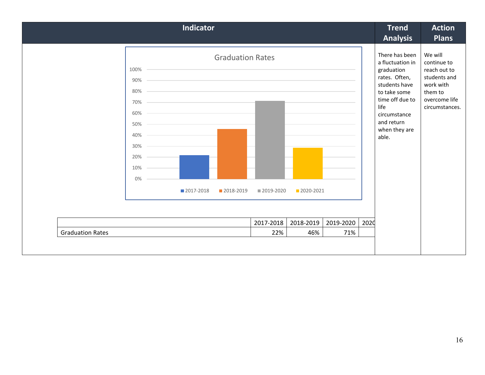